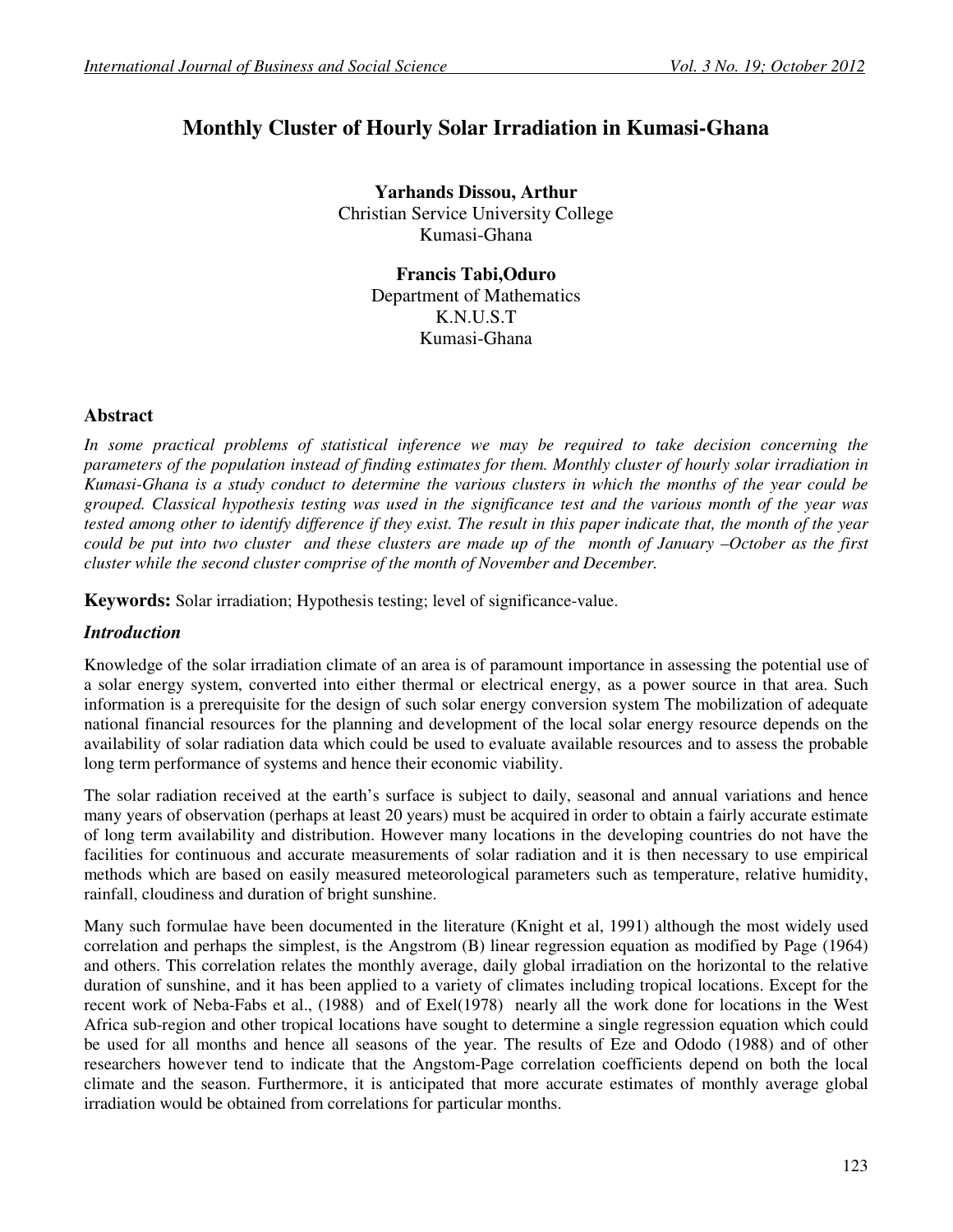# **Monthly Cluster of Hourly Solar Irradiation in Kumasi-Ghana**

**Yarhands Dissou, Arthur**  Christian Service University College Kumasi-Ghana

> **Francis Tabi,Oduro** Department of Mathematics K.N.U.S.T Kumasi-Ghana

## **Abstract**

*In some practical problems of statistical inference we may be required to take decision concerning the parameters of the population instead of finding estimates for them. Monthly cluster of hourly solar irradiation in Kumasi-Ghana is a study conduct to determine the various clusters in which the months of the year could be grouped. Classical hypothesis testing was used in the significance test and the various month of the year was tested among other to identify difference if they exist. The result in this paper indicate that, the month of the year could be put into two cluster and these clusters are made up of the month of January –October as the first cluster while the second cluster comprise of the month of November and December.* 

**Keywords:** Solar irradiation; Hypothesis testing; level of significance-value.

# *Introduction*

Knowledge of the solar irradiation climate of an area is of paramount importance in assessing the potential use of a solar energy system, converted into either thermal or electrical energy, as a power source in that area. Such information is a prerequisite for the design of such solar energy conversion system The mobilization of adequate national financial resources for the planning and development of the local solar energy resource depends on the availability of solar radiation data which could be used to evaluate available resources and to assess the probable long term performance of systems and hence their economic viability.

The solar radiation received at the earth's surface is subject to daily, seasonal and annual variations and hence many years of observation (perhaps at least 20 years) must be acquired in order to obtain a fairly accurate estimate of long term availability and distribution. However many locations in the developing countries do not have the facilities for continuous and accurate measurements of solar radiation and it is then necessary to use empirical methods which are based on easily measured meteorological parameters such as temperature, relative humidity, rainfall, cloudiness and duration of bright sunshine.

Many such formulae have been documented in the literature (Knight et al, 1991) although the most widely used correlation and perhaps the simplest, is the Angstrom (B) linear regression equation as modified by Page (1964) and others. This correlation relates the monthly average, daily global irradiation on the horizontal to the relative duration of sunshine, and it has been applied to a variety of climates including tropical locations. Except for the recent work of Neba-Fabs et al., (1988) and of Exel(1978) nearly all the work done for locations in the West Africa sub-region and other tropical locations have sought to determine a single regression equation which could be used for all months and hence all seasons of the year. The results of Eze and Ododo (1988) and of other researchers however tend to indicate that the Angstom-Page correlation coefficients depend on both the local climate and the season. Furthermore, it is anticipated that more accurate estimates of monthly average global irradiation would be obtained from correlations for particular months.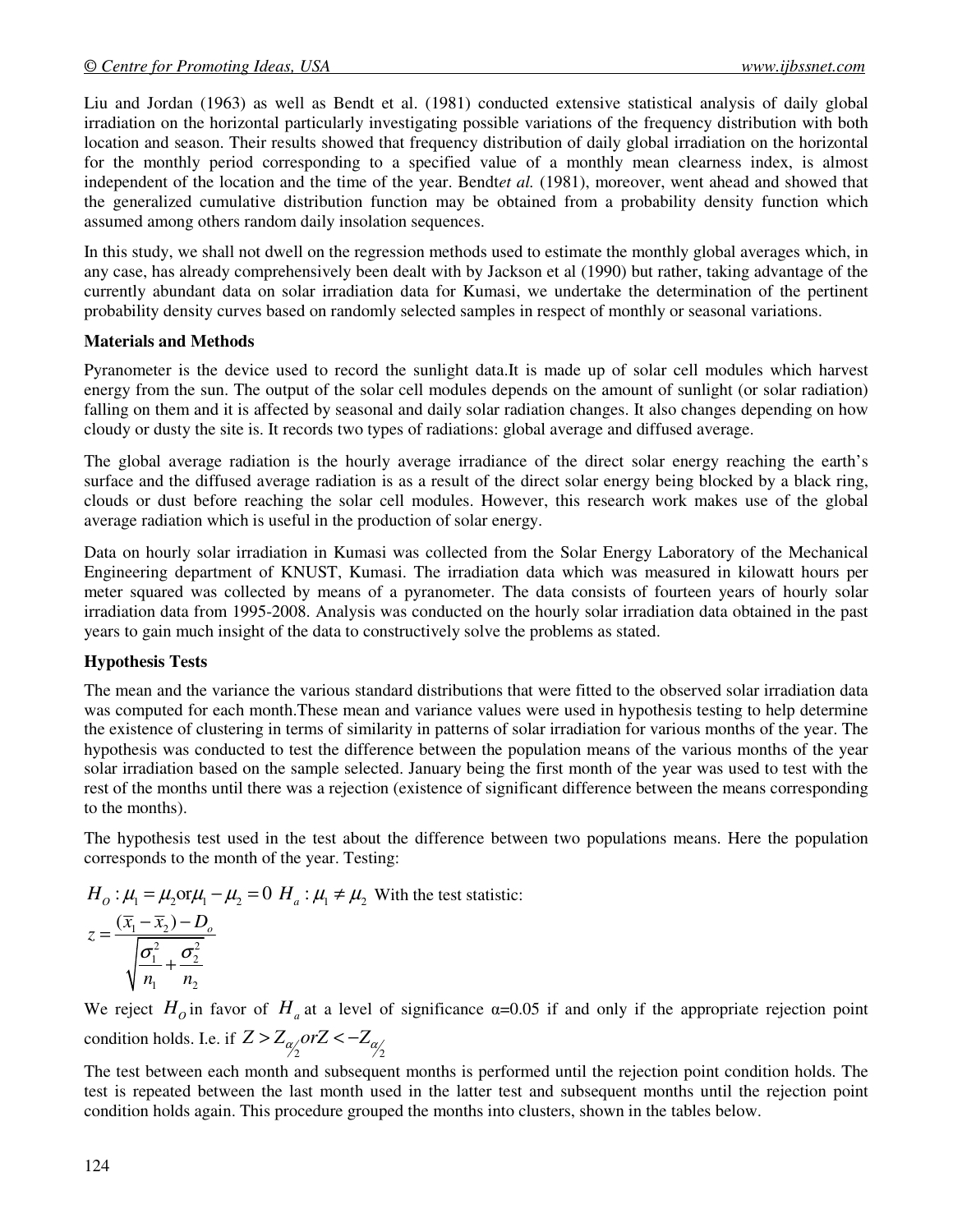Liu and Jordan (1963) as well as Bendt et al. (1981) conducted extensive statistical analysis of daily global irradiation on the horizontal particularly investigating possible variations of the frequency distribution with both location and season. Their results showed that frequency distribution of daily global irradiation on the horizontal for the monthly period corresponding to a specified value of a monthly mean clearness index, is almost independent of the location and the time of the year. Bendt*et al.* (1981), moreover, went ahead and showed that the generalized cumulative distribution function may be obtained from a probability density function which assumed among others random daily insolation sequences.

In this study, we shall not dwell on the regression methods used to estimate the monthly global averages which, in any case, has already comprehensively been dealt with by Jackson et al (1990) but rather, taking advantage of the currently abundant data on solar irradiation data for Kumasi, we undertake the determination of the pertinent probability density curves based on randomly selected samples in respect of monthly or seasonal variations.

#### **Materials and Methods**

Pyranometer is the device used to record the sunlight data.It is made up of solar cell modules which harvest energy from the sun. The output of the solar cell modules depends on the amount of sunlight (or solar radiation) falling on them and it is affected by seasonal and daily solar radiation changes. It also changes depending on how cloudy or dusty the site is. It records two types of radiations: global average and diffused average.

The global average radiation is the hourly average irradiance of the direct solar energy reaching the earth's surface and the diffused average radiation is as a result of the direct solar energy being blocked by a black ring, clouds or dust before reaching the solar cell modules. However, this research work makes use of the global average radiation which is useful in the production of solar energy.

Data on hourly solar irradiation in Kumasi was collected from the Solar Energy Laboratory of the Mechanical Engineering department of KNUST, Kumasi. The irradiation data which was measured in kilowatt hours per meter squared was collected by means of a pyranometer. The data consists of fourteen years of hourly solar irradiation data from 1995-2008. Analysis was conducted on the hourly solar irradiation data obtained in the past years to gain much insight of the data to constructively solve the problems as stated.

## **Hypothesis Tests**

The mean and the variance the various standard distributions that were fitted to the observed solar irradiation data was computed for each month.These mean and variance values were used in hypothesis testing to help determine the existence of clustering in terms of similarity in patterns of solar irradiation for various months of the year. The hypothesis was conducted to test the difference between the population means of the various months of the year solar irradiation based on the sample selected. January being the first month of the year was used to test with the rest of the months until there was a rejection (existence of significant difference between the means corresponding to the months).

The hypothesis test used in the test about the difference between two populations means. Here the population corresponds to the month of the year. Testing:

$$
H_o: \mu_1 = \mu_2 \text{ or } \mu_1 - \mu_2 = 0 \ H_a: \mu_1 \neq \mu_2 \text{ With the test statistic:}
$$
  

$$
z = \frac{(\overline{x}_1 - \overline{x}_2) - D_o}{\sqrt{\frac{\sigma_1^2}{n_1} + \frac{\sigma_2^2}{n_2}}}
$$

We reject  $H_0$  in favor of  $H_a$  at a level of significance  $\alpha$ =0.05 if and only if the appropriate rejection point condition holds. I.e. if  $Z > Z_{\alpha/2}$  *orZ* <  $-Z_{\alpha/2}$ 

The test between each month and subsequent months is performed until the rejection point condition holds. The test is repeated between the last month used in the latter test and subsequent months until the rejection point condition holds again. This procedure grouped the months into clusters, shown in the tables below.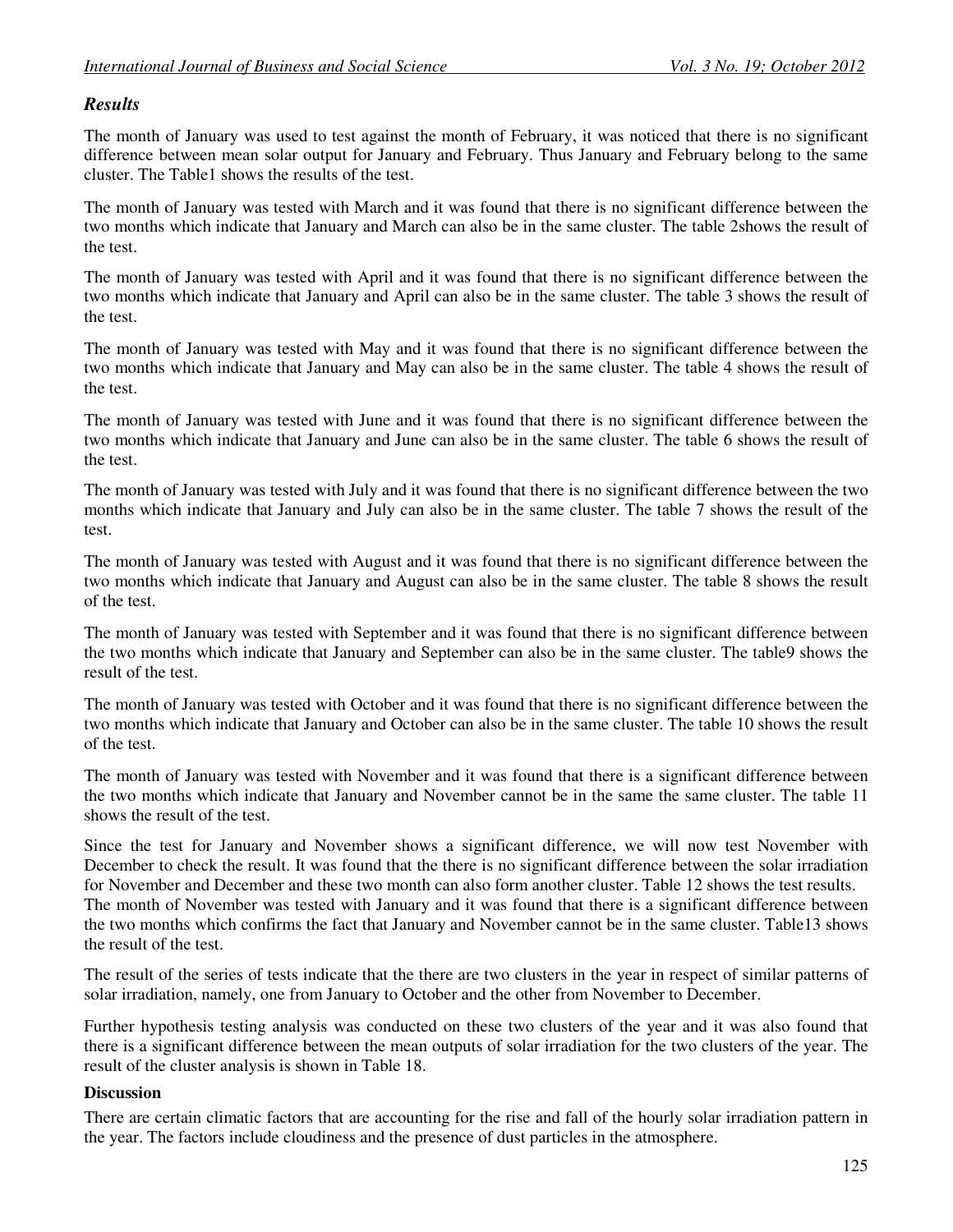#### *Results*

The month of January was used to test against the month of February, it was noticed that there is no significant difference between mean solar output for January and February. Thus January and February belong to the same cluster. The Table1 shows the results of the test.

The month of January was tested with March and it was found that there is no significant difference between the two months which indicate that January and March can also be in the same cluster. The table 2shows the result of the test.

The month of January was tested with April and it was found that there is no significant difference between the two months which indicate that January and April can also be in the same cluster. The table 3 shows the result of the test.

The month of January was tested with May and it was found that there is no significant difference between the two months which indicate that January and May can also be in the same cluster. The table 4 shows the result of the test.

The month of January was tested with June and it was found that there is no significant difference between the two months which indicate that January and June can also be in the same cluster. The table 6 shows the result of the test.

The month of January was tested with July and it was found that there is no significant difference between the two months which indicate that January and July can also be in the same cluster. The table 7 shows the result of the test.

The month of January was tested with August and it was found that there is no significant difference between the two months which indicate that January and August can also be in the same cluster. The table 8 shows the result of the test.

The month of January was tested with September and it was found that there is no significant difference between the two months which indicate that January and September can also be in the same cluster. The table9 shows the result of the test.

The month of January was tested with October and it was found that there is no significant difference between the two months which indicate that January and October can also be in the same cluster. The table 10 shows the result of the test.

The month of January was tested with November and it was found that there is a significant difference between the two months which indicate that January and November cannot be in the same the same cluster. The table 11 shows the result of the test.

Since the test for January and November shows a significant difference, we will now test November with December to check the result. It was found that the there is no significant difference between the solar irradiation for November and December and these two month can also form another cluster. Table 12 shows the test results. The month of November was tested with January and it was found that there is a significant difference between the two months which confirms the fact that January and November cannot be in the same cluster. Table13 shows the result of the test.

The result of the series of tests indicate that the there are two clusters in the year in respect of similar patterns of solar irradiation, namely, one from January to October and the other from November to December.

Further hypothesis testing analysis was conducted on these two clusters of the year and it was also found that there is a significant difference between the mean outputs of solar irradiation for the two clusters of the year. The result of the cluster analysis is shown in Table 18.

#### **Discussion**

There are certain climatic factors that are accounting for the rise and fall of the hourly solar irradiation pattern in the year. The factors include cloudiness and the presence of dust particles in the atmosphere.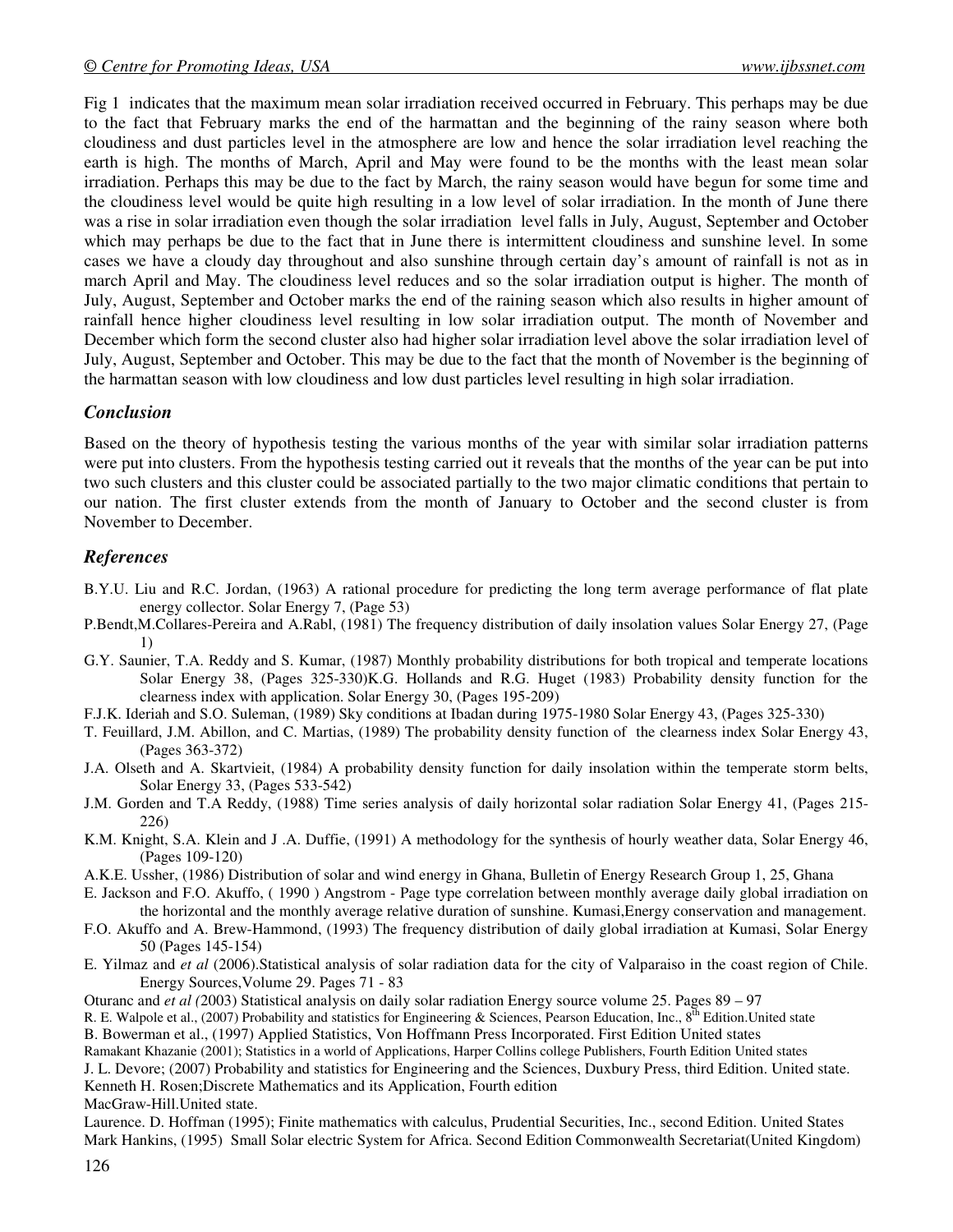Fig 1 indicates that the maximum mean solar irradiation received occurred in February. This perhaps may be due to the fact that February marks the end of the harmattan and the beginning of the rainy season where both cloudiness and dust particles level in the atmosphere are low and hence the solar irradiation level reaching the earth is high. The months of March, April and May were found to be the months with the least mean solar irradiation. Perhaps this may be due to the fact by March, the rainy season would have begun for some time and the cloudiness level would be quite high resulting in a low level of solar irradiation. In the month of June there was a rise in solar irradiation even though the solar irradiation level falls in July, August, September and October which may perhaps be due to the fact that in June there is intermittent cloudiness and sunshine level. In some cases we have a cloudy day throughout and also sunshine through certain day's amount of rainfall is not as in march April and May. The cloudiness level reduces and so the solar irradiation output is higher. The month of July, August, September and October marks the end of the raining season which also results in higher amount of rainfall hence higher cloudiness level resulting in low solar irradiation output. The month of November and December which form the second cluster also had higher solar irradiation level above the solar irradiation level of July, August, September and October. This may be due to the fact that the month of November is the beginning of the harmattan season with low cloudiness and low dust particles level resulting in high solar irradiation.

## *Conclusion*

Based on the theory of hypothesis testing the various months of the year with similar solar irradiation patterns were put into clusters. From the hypothesis testing carried out it reveals that the months of the year can be put into two such clusters and this cluster could be associated partially to the two major climatic conditions that pertain to our nation. The first cluster extends from the month of January to October and the second cluster is from November to December.

# *References*

- B.Y.U. Liu and R.C. Jordan, (1963) A rational procedure for predicting the long term average performance of flat plate energy collector. Solar Energy 7, (Page 53)
- P.Bendt,M.Collares-Pereira and A.Rabl, (1981) The frequency distribution of daily insolation values Solar Energy 27, (Page 1)
- G.Y. Saunier, T.A. Reddy and S. Kumar, (1987) Monthly probability distributions for both tropical and temperate locations Solar Energy 38, (Pages 325-330)K.G. Hollands and R.G. Huget (1983) Probability density function for the clearness index with application. Solar Energy 30, (Pages 195-209)
- F.J.K. Ideriah and S.O. Suleman, (1989) Sky conditions at Ibadan during 1975-1980 Solar Energy 43, (Pages 325-330)
- T. Feuillard, J.M. Abillon, and C. Martias, (1989) The probability density function of the clearness index Solar Energy 43, (Pages 363-372)
- J.A. Olseth and A. Skartvieit, (1984) A probability density function for daily insolation within the temperate storm belts, Solar Energy 33, (Pages 533-542)
- J.M. Gorden and T.A Reddy, (1988) Time series analysis of daily horizontal solar radiation Solar Energy 41, (Pages 215- 226)
- K.M. Knight, S.A. Klein and J .A. Duffie, (1991) A methodology for the synthesis of hourly weather data, Solar Energy 46, (Pages 109-120)
- A.K.E. Ussher, (1986) Distribution of solar and wind energy in Ghana, Bulletin of Energy Research Group 1, 25, Ghana
- E. Jackson and F.O. Akuffo, ( 1990 ) Angstrom Page type correlation between monthly average daily global irradiation on the horizontal and the monthly average relative duration of sunshine. Kumasi,Energy conservation and management.
- F.O. Akuffo and A. Brew-Hammond, (1993) The frequency distribution of daily global irradiation at Kumasi, Solar Energy 50 (Pages 145-154)
- E. Yilmaz and *et al* (2006).Statistical analysis of solar radiation data for the city of Valparaiso in the coast region of Chile. Energy Sources,Volume 29. Pages 71 - 83
- Oturanc and *et al (*2003) Statistical analysis on daily solar radiation Energy source volume 25. Pages 89 97
- R. E. Walpole et al., (2007) Probability and statistics for Engineering & Sciences, Pearson Education, Inc., 8<sup>th</sup> Edition. United state
- B. Bowerman et al., (1997) Applied Statistics, Von Hoffmann Press Incorporated. First Edition United states

Ramakant Khazanie (2001); Statistics in a world of Applications, Harper Collins college Publishers, Fourth Edition United states

J. L. Devore; (2007) Probability and statistics for Engineering and the Sciences, Duxbury Press, third Edition. United state. Kenneth H. Rosen;Discrete Mathematics and its Application, Fourth edition

MacGraw-Hill.United state.

Laurence. D. Hoffman (1995); Finite mathematics with calculus, Prudential Securities, Inc., second Edition. United States Mark Hankins, (1995) Small Solar electric System for Africa. Second Edition Commonwealth Secretariat(United Kingdom)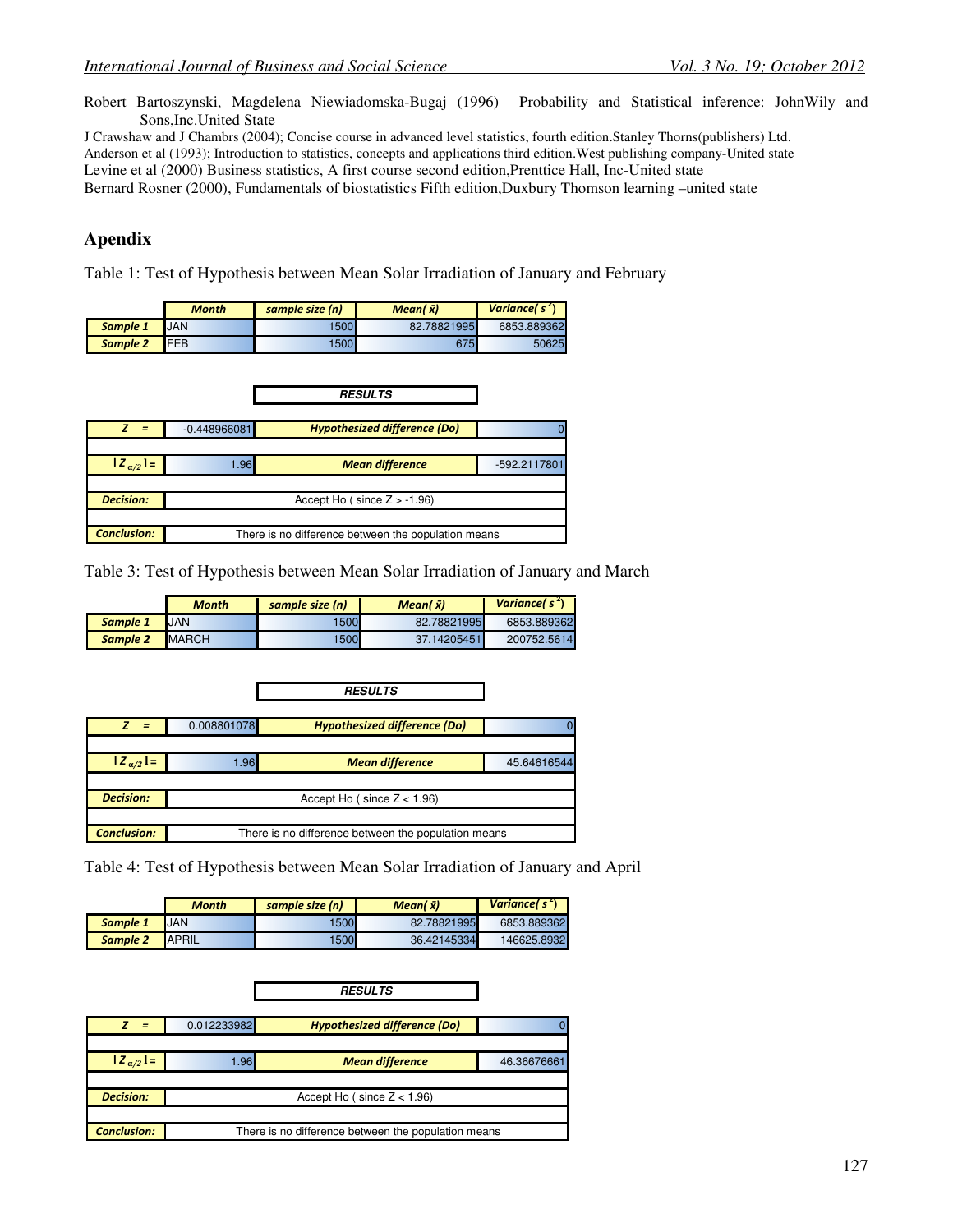Robert Bartoszynski, Magdelena Niewiadomska-Bugaj (1996) Probability and Statistical inference: JohnWily and Sons,Inc.United State

J Crawshaw and J Chambrs (2004); Concise course in advanced level statistics, fourth edition.Stanley Thorns(publishers) Ltd. Anderson et al (1993); Introduction to statistics, concepts and applications third edition.West publishing company-United state Levine et al (2000) Business statistics, A first course second edition,Prenttice Hall, Inc-United state Bernard Rosner (2000), Fundamentals of biostatistics Fifth edition,Duxbury Thomson learning –united state

# **Apendix**

Table 1: Test of Hypothesis between Mean Solar Irradiation of January and February

|          | Month      | sample size (n) | Mean( $\bar{x}$ ) | Variancel $s^2$ |
|----------|------------|-----------------|-------------------|-----------------|
| Sample 1 | JAN        | 1500            | 82.78821995       | 6853.889362     |
| Sample 2 | <b>FEB</b> | 1500            | 675               | 50625           |

|                    |                | <b>RESULTS</b>                                      |              |
|--------------------|----------------|-----------------------------------------------------|--------------|
|                    | $-0.448966081$ | Hypothesized difference (Do)                        |              |
|                    |                |                                                     |              |
| $ Z_{\alpha/2} =$  | 1.96           | <b>Mean difference</b>                              | -592.2117801 |
|                    |                |                                                     |              |
| <b>Decision:</b>   |                | Accept Ho (since $Z > -1.96$ )                      |              |
|                    |                |                                                     |              |
| <b>Conclusion:</b> |                | There is no difference between the population means |              |

Table 3: Test of Hypothesis between Mean Solar Irradiation of January and March

|          | Month         | sample size (n) | Mean( $\bar{x}$ ) | Variance( $s^2$ ) |
|----------|---------------|-----------------|-------------------|-------------------|
| Sample 1 | <b>JAN</b>    | 1500            | 82.78821995       | 6853.889362       |
| Sample 2 | <b>IMARCH</b> | 1500            | 37.14205451       | 200752.5614       |

|                    |             | <b>RESULTS</b>                                      |             |
|--------------------|-------------|-----------------------------------------------------|-------------|
| $\equiv$           | 0.008801078 | <b>Hypothesized difference (Do)</b>                 |             |
|                    |             |                                                     |             |
| $ Z_{\alpha/2} $ = | 1.96        | <b>Mean difference</b>                              | 45.64616544 |
|                    |             |                                                     |             |
| <b>Decision:</b>   |             | Accept Ho (since $Z < 1.96$ )                       |             |
|                    |             |                                                     |             |
| <b>Conclusion:</b> |             | There is no difference between the population means |             |

Table 4: Test of Hypothesis between Mean Solar Irradiation of January and April

|          | <b>Month</b>  | sample size (n) | Mean( $\bar{x}$ ) | Variancel $s^2$ |
|----------|---------------|-----------------|-------------------|-----------------|
| Sample 1 | <b>IJAN</b>   | 1500            | 82.78821995       | 6853.889362     |
| Sample 2 | <b>IAPRIL</b> | 1500            | 36.42145334       | 146625.8932     |

|                     |             | <b>RESULTS</b>                                      |             |
|---------------------|-------------|-----------------------------------------------------|-------------|
| $\overline{z}$<br>Ξ | 0.012233982 | <b>Hypothesized difference (Do)</b>                 |             |
|                     |             |                                                     |             |
| $ Z_{\alpha/2} $ =  | 1.96        | <b>Mean difference</b>                              | 46.36676661 |
|                     |             |                                                     |             |
| <b>Decision:</b>    |             | Accept Ho (since $Z < 1.96$ )                       |             |
|                     |             |                                                     |             |
| <b>Conclusion:</b>  |             | There is no difference between the population means |             |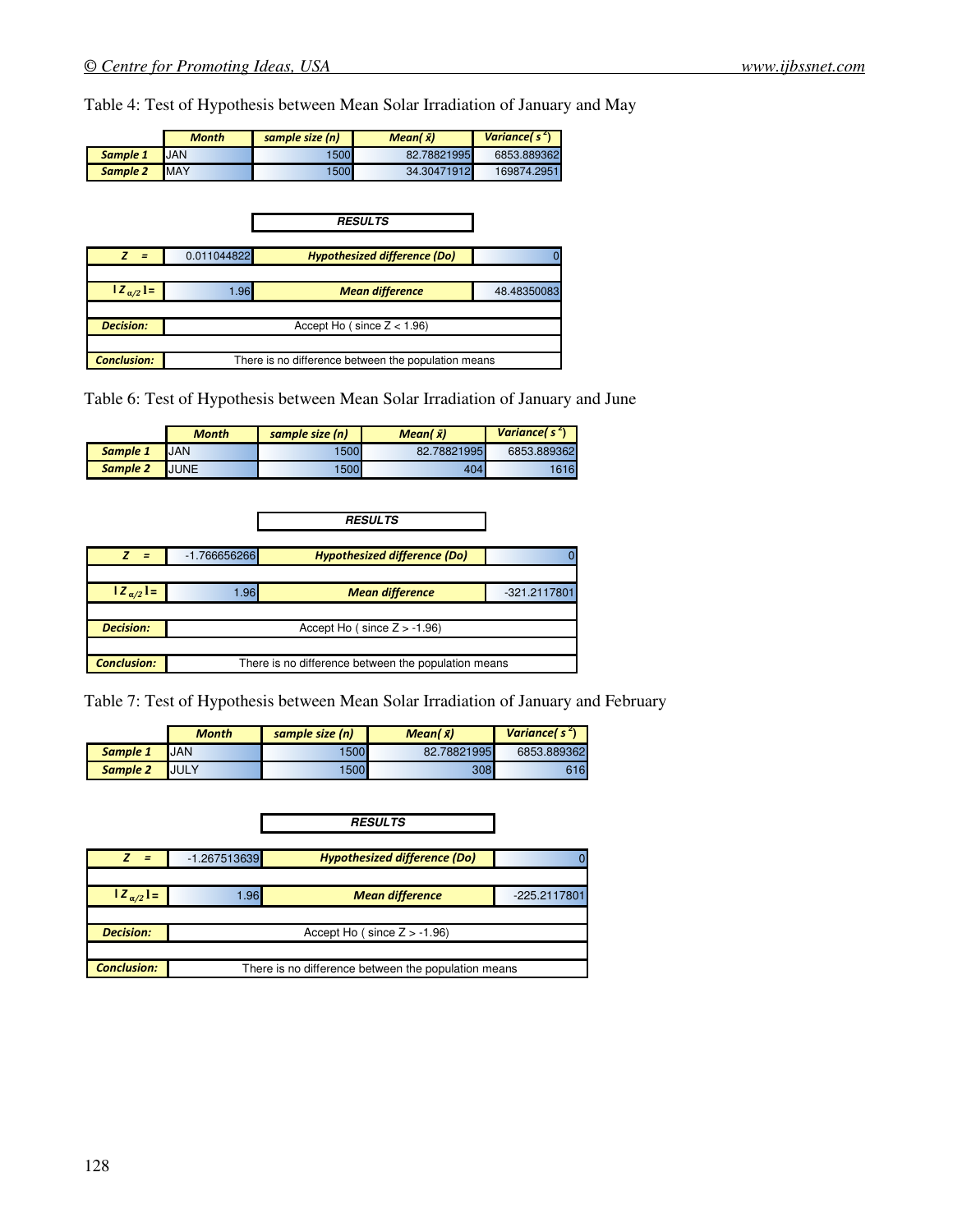Table 4: Test of Hypothesis between Mean Solar Irradiation of January and May

|          | Month       | sample size (n) | Mean( $\bar{x}$ ) | Variancel $s^2$ ) |
|----------|-------------|-----------------|-------------------|-------------------|
| Sample 1 | <b>JAN</b>  | 1500            | 82.78821995       | 6853.889362       |
| Sample 2 | <b>IMAY</b> | 1500            | 34.30471912       | 169874.2951       |

|                    |             | <b>RESULTS</b>                                      |             |
|--------------------|-------------|-----------------------------------------------------|-------------|
|                    |             |                                                     |             |
|                    | 0.011044822 | <b>Hypothesized difference (Do)</b>                 |             |
|                    |             |                                                     |             |
| $ Z_{\alpha/2} $ = | .96         | <b>Mean difference</b>                              | 48.48350083 |
|                    |             |                                                     |             |
| <b>Decision:</b>   |             | Accept Ho (since $Z < 1.96$ )                       |             |
|                    |             |                                                     |             |
| <b>Conclusion:</b> |             | There is no difference between the population means |             |

Table 6: Test of Hypothesis between Mean Solar Irradiation of January and June

|          | <b>Month</b> | sample size (n) | Mean( $\bar{x}$ ) | Variancel $s^2$ |
|----------|--------------|-----------------|-------------------|-----------------|
| Sample 1 | <b>JAN</b>   | 1500            | 82.78821995       | 6853.889362     |
| Sample 2 | <b>JUNE</b>  | 1500            | 404               | 616             |

|                    |                | <b>RESULTS</b>                                      |              |
|--------------------|----------------|-----------------------------------------------------|--------------|
|                    |                |                                                     |              |
| $\equiv$           | $-1.766656266$ | <b>Hypothesized difference (Do)</b>                 |              |
|                    |                |                                                     |              |
| $ Z_{\alpha/2}  =$ | 1.96           | <b>Mean difference</b>                              | -321.2117801 |
|                    |                |                                                     |              |
| <b>Decision:</b>   |                | Accept Ho ( $\since$ Z $> -1.96$ )                  |              |
|                    |                |                                                     |              |
| <b>Conclusion:</b> |                | There is no difference between the population means |              |

Table 7: Test of Hypothesis between Mean Solar Irradiation of January and February

|          | <b>Month</b> | sample size (n) | Mean( $\bar{x}$ ) | Variancel $s^2$ ) |
|----------|--------------|-----------------|-------------------|-------------------|
| Sample 1 | <b>JAN</b>   | 1500            | 82.78821995       | 6853.889362       |
| Sample 2 | <b>JULY</b>  | 1500            | 308               | 616               |

|                    |                | <b>RESULTS</b>                                      |              |
|--------------------|----------------|-----------------------------------------------------|--------------|
|                    |                |                                                     |              |
| Ξ                  | $-1.267513639$ | <b>Hypothesized difference (Do)</b>                 |              |
|                    |                |                                                     |              |
| $ Z_{\alpha/2} $ = | 1.96           | <b>Mean difference</b>                              | -225.2117801 |
|                    |                |                                                     |              |
| <b>Decision:</b>   |                | Accept Ho (since $Z > -1.96$ )                      |              |
|                    |                |                                                     |              |
| <b>Conclusion:</b> |                | There is no difference between the population means |              |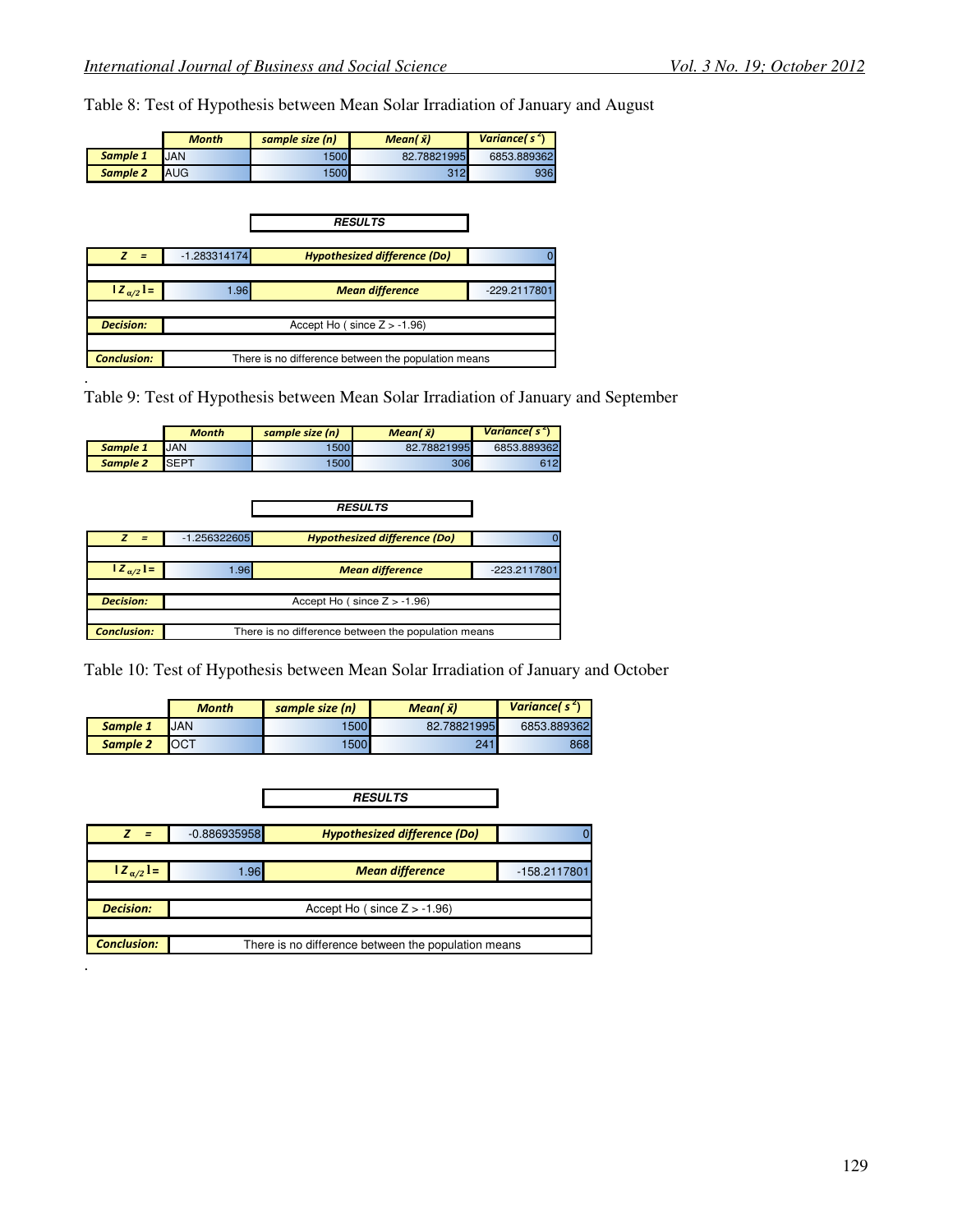.

Table 8: Test of Hypothesis between Mean Solar Irradiation of January and August

|          | <b>Month</b> | sample size (n) | Mean( $\bar{x}$ ) | Variancel $s^2$ ) |
|----------|--------------|-----------------|-------------------|-------------------|
| Sample 1 | <b>JAN</b>   | 1500            | 82.78821995       | 6853.889362       |
| Sample 2 | <b>AUG</b>   | 1500            | 312               | 9361              |

|                    |                | <b>RESULTS</b>                                      |                |
|--------------------|----------------|-----------------------------------------------------|----------------|
|                    |                |                                                     |                |
| $\equiv$           | $-1.283314174$ | <b>Hypothesized difference (Do)</b>                 |                |
|                    |                |                                                     |                |
| $ Z_{\alpha/2} =$  | 1.96           | <b>Mean difference</b>                              | $-229.2117801$ |
|                    |                |                                                     |                |
| <b>Decision:</b>   |                | Accept Ho (since $Z > -1.96$ )                      |                |
|                    |                |                                                     |                |
| <b>Conclusion:</b> |                | There is no difference between the population means |                |

Table 9: Test of Hypothesis between Mean Solar Irradiation of January and September

|                    | <b>Month</b>                      | sample size (n)                                     | Mean( $\bar{x}$ )                   | Variance( $s^2$ ) |  |  |
|--------------------|-----------------------------------|-----------------------------------------------------|-------------------------------------|-------------------|--|--|
| Sample 1           | <b>JAN</b>                        | 1500                                                | 82.78821995                         | 6853.889362       |  |  |
| <b>Sample 2</b>    | <b>SEPT</b>                       | 1500                                                | 306                                 | 612               |  |  |
|                    |                                   |                                                     |                                     |                   |  |  |
|                    |                                   |                                                     |                                     |                   |  |  |
|                    |                                   |                                                     | <b>RESULTS</b>                      |                   |  |  |
|                    |                                   |                                                     |                                     |                   |  |  |
| z<br>$=$           | $-1.256322605$                    |                                                     | <b>Hypothesized difference (Do)</b> |                   |  |  |
|                    |                                   |                                                     |                                     |                   |  |  |
| $ Z_{\alpha/2}  =$ | 1.96                              |                                                     | <b>Mean difference</b>              | -223.2117801      |  |  |
|                    |                                   |                                                     |                                     |                   |  |  |
| <b>Decision:</b>   | Accept Ho ( $since$ $Z > -1.96$ ) |                                                     |                                     |                   |  |  |
|                    |                                   |                                                     |                                     |                   |  |  |
| <b>Conclusion:</b> |                                   | There is no difference between the population means |                                     |                   |  |  |

Table 10: Test of Hypothesis between Mean Solar Irradiation of January and October

|          | Month       | sample size (n) | Mean( $\bar{x}$ ) | Variancel $s^2$ |
|----------|-------------|-----------------|-------------------|-----------------|
| Sample 1 | JAN         | 500             | 82.78821995       | 6853.889362     |
| Sample 2 | <b>IOCT</b> | 1500            | 241               | 868             |

|                    |                | <b>RESULTS</b>                                      |              |
|--------------------|----------------|-----------------------------------------------------|--------------|
|                    |                |                                                     |              |
| 7<br>$=$           | $-0.886935958$ | <b>Hypothesized difference (Do)</b>                 |              |
|                    |                |                                                     |              |
| $ Z_{\alpha/2} =$  | 1.96           | <b>Mean difference</b>                              | -158.2117801 |
|                    |                |                                                     |              |
| <b>Decision:</b>   |                | Accept Ho (since $Z > -1.96$ )                      |              |
|                    |                |                                                     |              |
| <b>Conclusion:</b> |                | There is no difference between the population means |              |
|                    |                |                                                     |              |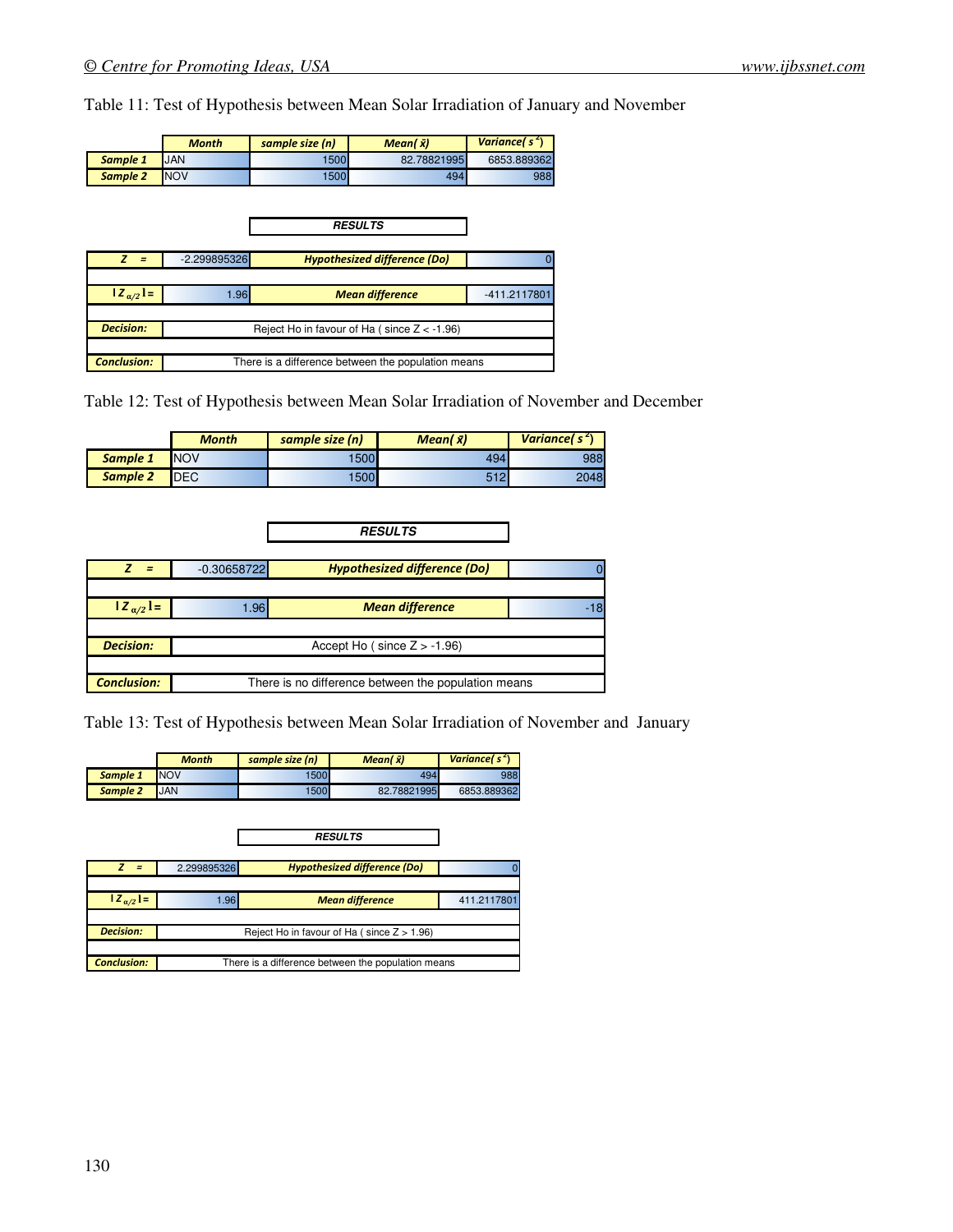Table 11: Test of Hypothesis between Mean Solar Irradiation of January and November

|          | <b>Month</b> | sample size (n) | Mean( $\bar{x}$ ) | Variance( $s^2$ ) |
|----------|--------------|-----------------|-------------------|-------------------|
| Sample 1 | <b>JAN</b>   | 1500            | 82.78821995       | 6853.889362       |
| Sample 2 | <b>NOV</b>   | 1500            | 494               | 9881              |

|                    |                | <b>RESULTS</b>                                     |              |
|--------------------|----------------|----------------------------------------------------|--------------|
|                    |                |                                                    |              |
|                    | $-2.299895326$ | <b>Hypothesized difference (Do)</b>                |              |
|                    |                |                                                    |              |
| $ Z_{\alpha/2}  =$ | 1.96           | <b>Mean difference</b>                             | -411.2117801 |
|                    |                |                                                    |              |
| <b>Decision:</b>   |                | Reject Ho in favour of Ha (since $Z < -1.96$ )     |              |
|                    |                |                                                    |              |
| <b>Conclusion:</b> |                | There is a difference between the population means |              |

Table 12: Test of Hypothesis between Mean Solar Irradiation of November and December

|          | <b>Month</b> | sample size (n) | Mean( $\bar{x}$ ) | Variance( $s^2$ ) |
|----------|--------------|-----------------|-------------------|-------------------|
| Sample 1 | <b>NOV</b>   | '500            | 494               | 988               |
| Sample 2 | <b>DEC</b>   | 500             | 512               | 2048              |

|                    |               | <b>RESULTS</b>                                      |  |
|--------------------|---------------|-----------------------------------------------------|--|
|                    |               |                                                     |  |
| $=$                | $-0.30658722$ | <b>Hypothesized difference (Do)</b>                 |  |
|                    |               |                                                     |  |
| $ Z_{\alpha/2} =$  | 1.96          | <b>Mean difference</b>                              |  |
|                    |               |                                                     |  |
| <b>Decision:</b>   |               | Accept Ho (since $Z > -1.96$ )                      |  |
|                    |               |                                                     |  |
| <b>Conclusion:</b> |               | There is no difference between the population means |  |

Table 13: Test of Hypothesis between Mean Solar Irradiation of November and January

|          | <b>Month</b> | sample size (n) | Mean( $\bar{x}$ ) | Variancel $s^2$ |
|----------|--------------|-----------------|-------------------|-----------------|
| Sample 1 | <b>NOV</b>   | 1500            | 494               | 988             |
| Sample 2 | <b>JAN</b>   | 1500            | 82.78821995       | 6853.889362     |